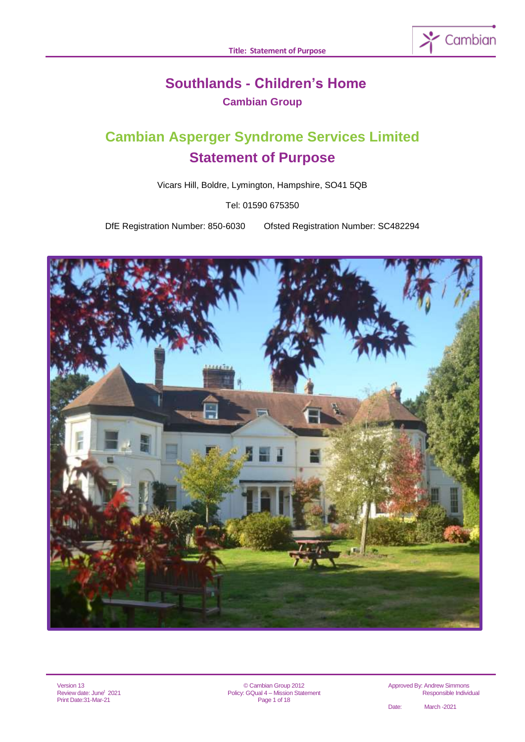

# **Southlands - Children's Home Cambian Group**

# **Cambian Asperger Syndrome Services Limited Statement of Purpose**

Vicars Hill, Boldre, Lymington, Hampshire, SO41 5QB

Tel: 01590 675350

DfE Registration Number: 850-6030 Ofsted Registration Number: SC482294



© Cambian Group 2012 Policy: GQual 4 – Mission Statement Page 1 of 18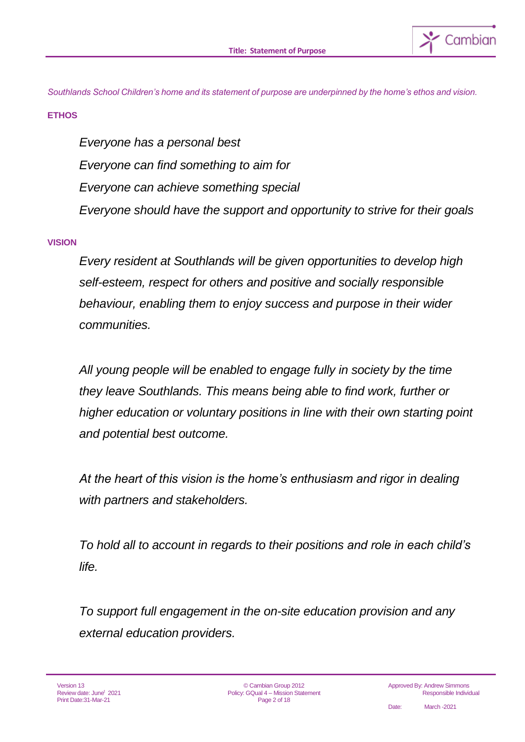

*Southlands School Children's home and its statement of purpose are underpinned by the home's ethos and vision.* 

## **ETHOS**

*Everyone has a personal best Everyone can find something to aim for Everyone can achieve something special Everyone should have the support and opportunity to strive for their goals*

## **VISION**

*Every resident at Southlands will be given opportunities to develop high self-esteem, respect for others and positive and socially responsible behaviour, enabling them to enjoy success and purpose in their wider communities.*

*All young people will be enabled to engage fully in society by the time they leave Southlands. This means being able to find work, further or higher education or voluntary positions in line with their own starting point and potential best outcome.*

*At the heart of this vision is the home's enthusiasm and rigor in dealing with partners and stakeholders.*

*To hold all to account in regards to their positions and role in each child's life.*

*To support full engagement in the on-site education provision and any external education providers.*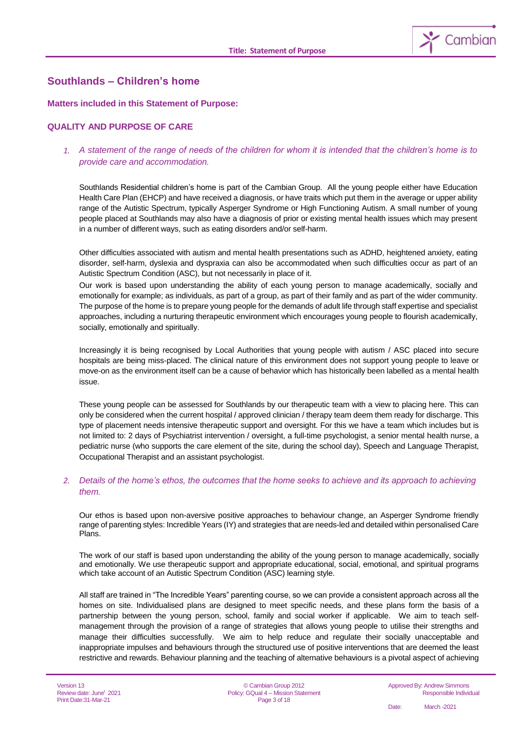

## **Southlands – Children's home**

#### **Matters included in this Statement of Purpose:**

#### **QUALITY AND PURPOSE OF CARE**

#### *1. A statement of the range of needs of the children for whom it is intended that the children's home is to provide care and accommodation.*

Southlands Residential children's home is part of the Cambian Group. All the young people either have Education Health Care Plan (EHCP) and have received a diagnosis, or have traits which put them in the average or upper ability range of the Autistic Spectrum, typically Asperger Syndrome or High Functioning Autism. A small number of young people placed at Southlands may also have a diagnosis of prior or existing mental health issues which may present in a number of different ways, such as eating disorders and/or self-harm.

Other difficulties associated with autism and mental health presentations such as ADHD, heightened anxiety, eating disorder, self-harm, dyslexia and dyspraxia can also be accommodated when such difficulties occur as part of an Autistic Spectrum Condition (ASC), but not necessarily in place of it.

Our work is based upon understanding the ability of each young person to manage academically, socially and emotionally for example; as individuals, as part of a group, as part of their family and as part of the wider community. The purpose of the home is to prepare young people for the demands of adult life through staff expertise and specialist approaches, including a nurturing therapeutic environment which encourages young people to flourish academically, socially, emotionally and spiritually.

Increasingly it is being recognised by Local Authorities that young people with autism / ASC placed into secure hospitals are being miss-placed. The clinical nature of this environment does not support young people to leave or move-on as the environment itself can be a cause of behavior which has historically been labelled as a mental health issue.

These young people can be assessed for Southlands by our therapeutic team with a view to placing here. This can only be considered when the current hospital / approved clinician / therapy team deem them ready for discharge. This type of placement needs intensive therapeutic support and oversight. For this we have a team which includes but is not limited to: 2 days of Psychiatrist intervention / oversight, a full-time psychologist, a senior mental health nurse, a pediatric nurse (who supports the care element of the site, during the school day), Speech and Language Therapist, Occupational Therapist and an assistant psychologist.

#### *2. Details of the home's ethos, the outcomes that the home seeks to achieve and its approach to achieving them.*

Our ethos is based upon non-aversive positive approaches to behaviour change, an Asperger Syndrome friendly range of parenting styles: Incredible Years (IY) and strategies that are needs-led and detailed within personalised Care Plans.

The work of our staff is based upon understanding the ability of the young person to manage academically, socially and emotionally. We use therapeutic support and appropriate educational, social, emotional, and spiritual programs which take account of an Autistic Spectrum Condition (ASC) learning style.

All staff are trained in "The Incredible Years" parenting course, so we can provide a consistent approach across all the homes on site. Individualised plans are designed to meet specific needs, and these plans form the basis of a partnership between the young person, school, family and social worker if applicable. We aim to teach selfmanagement through the provision of a range of strategies that allows young people to utilise their strengths and manage their difficulties successfully. We aim to help reduce and regulate their socially unacceptable and inappropriate impulses and behaviours through the structured use of positive interventions that are deemed the least restrictive and rewards. Behaviour planning and the teaching of alternative behaviours is a pivotal aspect of achieving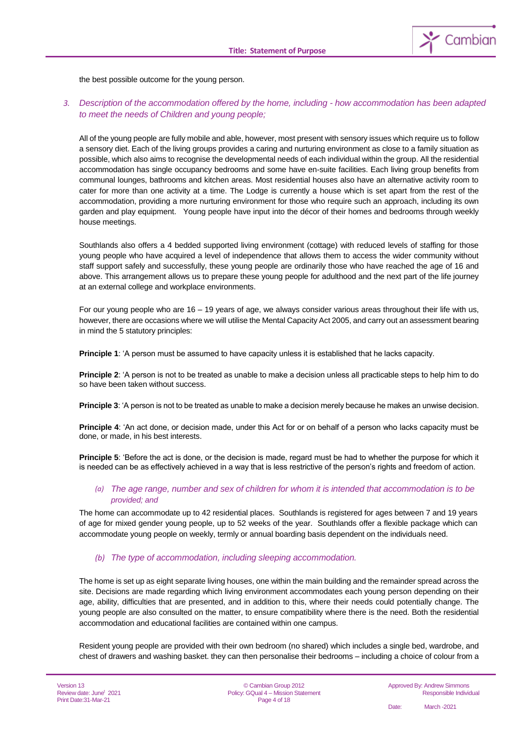

the best possible outcome for the young person.

#### *3. Description of the accommodation offered by the home, including - how accommodation has been adapted to meet the needs of Children and young people;*

All of the young people are fully mobile and able, however, most present with sensory issues which require us to follow a sensory diet. Each of the living groups provides a caring and nurturing environment as close to a family situation as possible, which also aims to recognise the developmental needs of each individual within the group. All the residential accommodation has single occupancy bedrooms and some have en-suite facilities. Each living group benefits from communal lounges, bathrooms and kitchen areas. Most residential houses also have an alternative activity room to cater for more than one activity at a time. The Lodge is currently a house which is set apart from the rest of the accommodation, providing a more nurturing environment for those who require such an approach, including its own garden and play equipment. Young people have input into the décor of their homes and bedrooms through weekly house meetings.

Southlands also offers a 4 bedded supported living environment (cottage) with reduced levels of staffing for those young people who have acquired a level of independence that allows them to access the wider community without staff support safely and successfully, these young people are ordinarily those who have reached the age of 16 and above. This arrangement allows us to prepare these young people for adulthood and the next part of the life journey at an external college and workplace environments.

For our young people who are 16 – 19 years of age, we always consider various areas throughout their life with us, however, there are occasions where we will utilise the Mental Capacity Act 2005, and carry out an assessment bearing in mind the 5 statutory principles:

**Principle 1**: 'A person must be assumed to have capacity unless it is established that he lacks capacity.

**Principle 2**: 'A person is not to be treated as unable to make a decision unless all practicable steps to help him to do so have been taken without success.

**Principle 3:** 'A person is not to be treated as unable to make a decision merely because he makes an unwise decision.

**Principle 4**: 'An act done, or decision made, under this Act for or on behalf of a person who lacks capacity must be done, or made, in his best interests.

**Principle 5**: 'Before the act is done, or the decision is made, regard must be had to whether the purpose for which it is needed can be as effectively achieved in a way that is less restrictive of the person's rights and freedom of action.

#### *(a) The age range, number and sex of children for whom it is intended that accommodation is to be provided; and*

The home can accommodate up to 42 residential places. Southlands is registered for ages between 7 and 19 years of age for mixed gender young people, up to 52 weeks of the year. Southlands offer a flexible package which can accommodate young people on weekly, termly or annual boarding basis dependent on the individuals need.

#### *(b) The type of accommodation, including sleeping accommodation.*

The home is set up as eight separate living houses, one within the main building and the remainder spread across the site. Decisions are made regarding which living environment accommodates each young person depending on their age, ability, difficulties that are presented, and in addition to this, where their needs could potentially change. The young people are also consulted on the matter, to ensure compatibility where there is the need. Both the residential accommodation and educational facilities are contained within one campus.

Resident young people are provided with their own bedroom (no shared) which includes a single bed, wardrobe, and chest of drawers and washing basket. they can then personalise their bedrooms – including a choice of colour from a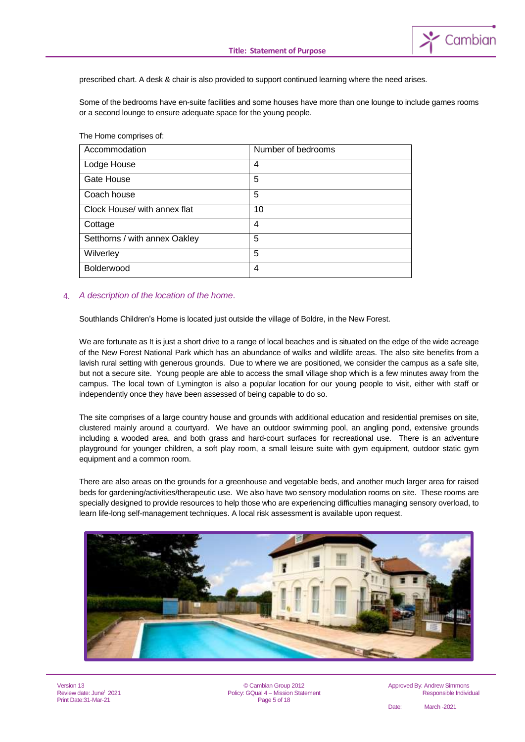

prescribed chart. A desk & chair is also provided to support continued learning where the need arises.

Some of the bedrooms have en-suite facilities and some houses have more than one lounge to include games rooms or a second lounge to ensure adequate space for the young people.

The Home comprises of:

| Accommodation                 | Number of bedrooms |
|-------------------------------|--------------------|
| Lodge House                   | 4                  |
| Gate House                    | 5                  |
| Coach house                   | 5                  |
| Clock House/ with annex flat  | 10                 |
| Cottage                       | 4                  |
| Setthorns / with annex Oakley | 5                  |
| Wilverley                     | 5                  |
| Bolderwood                    | 4                  |

#### 4. *A description of the location of the home*.

Southlands Children's Home is located just outside the village of Boldre, in the New Forest.

We are fortunate as It is just a short drive to a range of local beaches and is situated on the edge of the wide acreage of the New Forest National Park which has an abundance of walks and wildlife areas. The also site benefits from a lavish rural setting with generous grounds. Due to where we are positioned, we consider the campus as a safe site, but not a secure site. Young people are able to access the small village shop which is a few minutes away from the campus. The local town of Lymington is also a popular location for our young people to visit, either with staff or independently once they have been assessed of being capable to do so.

The site comprises of a large country house and grounds with additional education and residential premises on site, clustered mainly around a courtyard. We have an outdoor swimming pool, an angling pond, extensive grounds including a wooded area, and both grass and hard-court surfaces for recreational use. There is an adventure playground for younger children, a soft play room, a small leisure suite with gym equipment, outdoor static gym equipment and a common room.

There are also areas on the grounds for a greenhouse and vegetable beds, and another much larger area for raised beds for gardening/activities/therapeutic use. We also have two sensory modulation rooms on site. These rooms are specially designed to provide resources to help those who are experiencing difficulties managing sensory overload, to learn life-long self-management techniques. A local risk assessment is available upon request.



Version 13 Review date: June<sup>t</sup> 2021 Print Date:31-Mar-21

© Cambian Group 2012 Policy: GQual 4 – Mission Statement Page 5 of 18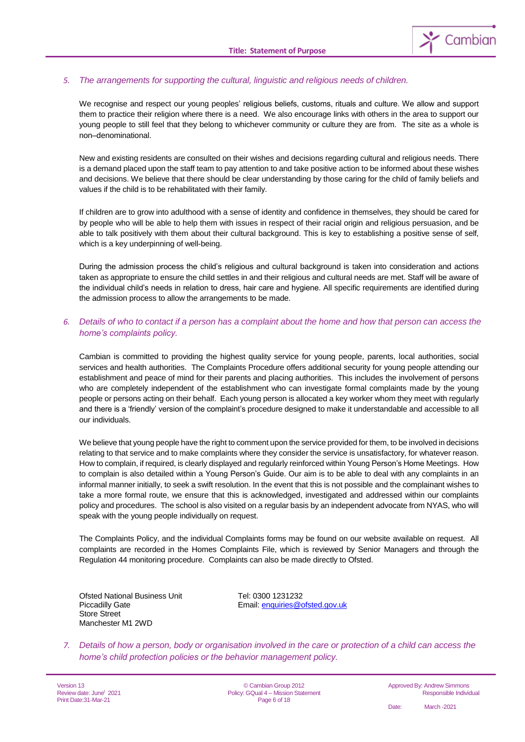

#### *5. The arrangements for supporting the cultural, linguistic and religious needs of children.*

We recognise and respect our young peoples' religious beliefs, customs, rituals and culture. We allow and support them to practice their religion where there is a need. We also encourage links with others in the area to support our young people to still feel that they belong to whichever community or culture they are from. The site as a whole is non–denominational.

New and existing residents are consulted on their wishes and decisions regarding cultural and religious needs. There is a demand placed upon the staff team to pay attention to and take positive action to be informed about these wishes and decisions. We believe that there should be clear understanding by those caring for the child of family beliefs and values if the child is to be rehabilitated with their family.

If children are to grow into adulthood with a sense of identity and confidence in themselves, they should be cared for by people who will be able to help them with issues in respect of their racial origin and religious persuasion, and be able to talk positively with them about their cultural background. This is key to establishing a positive sense of self, which is a key underpinning of well-being.

During the admission process the child's religious and cultural background is taken into consideration and actions taken as appropriate to ensure the child settles in and their religious and cultural needs are met. Staff will be aware of the individual child's needs in relation to dress, hair care and hygiene. All specific requirements are identified during the admission process to allow the arrangements to be made.

#### *6. Details of who to contact if a person has a complaint about the home and how that person can access the home's complaints policy.*

Cambian is committed to providing the highest quality service for young people, parents, local authorities, social services and health authorities. The Complaints Procedure offers additional security for young people attending our establishment and peace of mind for their parents and placing authorities. This includes the involvement of persons who are completely independent of the establishment who can investigate formal complaints made by the young people or persons acting on their behalf. Each young person is allocated a key worker whom they meet with regularly and there is a 'friendly' version of the complaint's procedure designed to make it understandable and accessible to all our individuals.

We believe that young people have the right to comment upon the service provided for them, to be involved in decisions relating to that service and to make complaints where they consider the service is unsatisfactory, for whatever reason. How to complain, if required, is clearly displayed and regularly reinforced within Young Person's Home Meetings. How to complain is also detailed within a Young Person's Guide. Our aim is to be able to deal with any complaints in an informal manner initially, to seek a swift resolution. In the event that this is not possible and the complainant wishes to take a more formal route, we ensure that this is acknowledged, investigated and addressed within our complaints policy and procedures. The school is also visited on a regular basis by an independent advocate from NYAS, who will speak with the young people individually on request.

The Complaints Policy, and the individual Complaints forms may be found on our website available on request. All complaints are recorded in the Homes Complaints File, which is reviewed by Senior Managers and through the Regulation 44 monitoring procedure. Complaints can also be made directly to Ofsted.

Ofsted National Business Unit Tel: 0300 1231232 Store Street Manchester M1 2WD

Piccadilly Gate **Email:** enquiries @ofsted.gov.uk

*7. Details of how a person, body or organisation involved in the care or protection of a child can access the home's child protection policies or the behavior management policy.*

Version 13 Review date: June<sup>t</sup> 2021 Print Date:31-Mar-21

© Cambian Group 2012 Policy: GQual 4 – Mission Statement Page 6 of 18

Approved By: Andrew Simmons Responsible Individual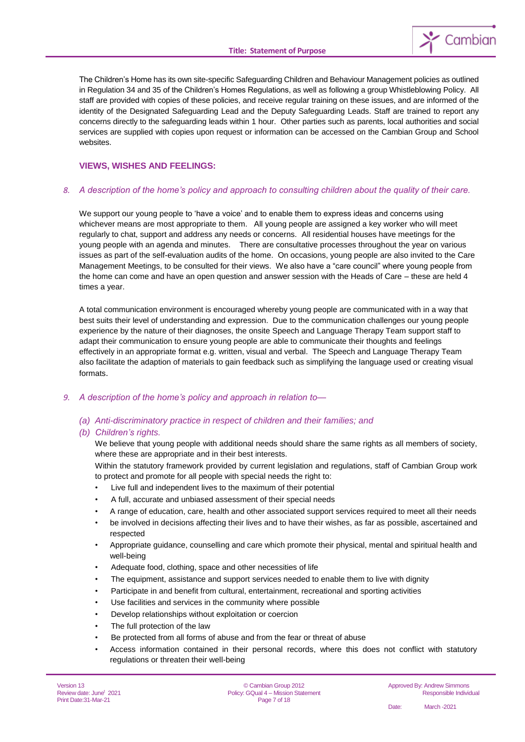

The Children's Home has its own site-specific Safeguarding Children and Behaviour Management policies as outlined in Regulation 34 and 35 of the Children's Homes Regulations, as well as following a group Whistleblowing Policy. All staff are provided with copies of these policies, and receive regular training on these issues, and are informed of the identity of the Designated Safeguarding Lead and the Deputy Safeguarding Leads. Staff are trained to report any concerns directly to the safeguarding leads within 1 hour. Other parties such as parents, local authorities and social services are supplied with copies upon request or information can be accessed on the Cambian Group and School websites.

#### **VIEWS, WISHES AND FEELINGS:**

#### *8. A description of the home's policy and approach to consulting children about the quality of their care.*

We support our young people to 'have a voice' and to enable them to express ideas and concerns using whichever means are most appropriate to them. All young people are assigned a key worker who will meet regularly to chat, support and address any needs or concerns. All residential houses have meetings for the young people with an agenda and minutes. There are consultative processes throughout the year on various issues as part of the self-evaluation audits of the home. On occasions, young people are also invited to the Care Management Meetings, to be consulted for their views. We also have a "care council" where young people from the home can come and have an open question and answer session with the Heads of Care – these are held 4 times a year.

A total communication environment is encouraged whereby young people are communicated with in a way that best suits their level of understanding and expression. Due to the communication challenges our young people experience by the nature of their diagnoses, the onsite Speech and Language Therapy Team support staff to adapt their communication to ensure young people are able to communicate their thoughts and feelings effectively in an appropriate format e.g. written, visual and verbal. The Speech and Language Therapy Team also facilitate the adaption of materials to gain feedback such as simplifying the language used or creating visual formats.

#### *9. A description of the home's policy and approach in relation to—*

#### *(a) Anti-discriminatory practice in respect of children and their families; and*

#### *(b) Children's rights.*

We believe that young people with additional needs should share the same rights as all members of society, where these are appropriate and in their best interests.

Within the statutory framework provided by current legislation and regulations, staff of Cambian Group work to protect and promote for all people with special needs the right to:

- Live full and independent lives to the maximum of their potential
- A full, accurate and unbiased assessment of their special needs
- A range of education, care, health and other associated support services required to meet all their needs
- be involved in decisions affecting their lives and to have their wishes, as far as possible, ascertained and respected
- Appropriate guidance, counselling and care which promote their physical, mental and spiritual health and well-being
- Adequate food, clothing, space and other necessities of life
- The equipment, assistance and support services needed to enable them to live with dignity
- Participate in and benefit from cultural, entertainment, recreational and sporting activities
- Use facilities and services in the community where possible
- Develop relationships without exploitation or coercion
- The full protection of the law
- Be protected from all forms of abuse and from the fear or threat of abuse
- Access information contained in their personal records, where this does not conflict with statutory regulations or threaten their well-being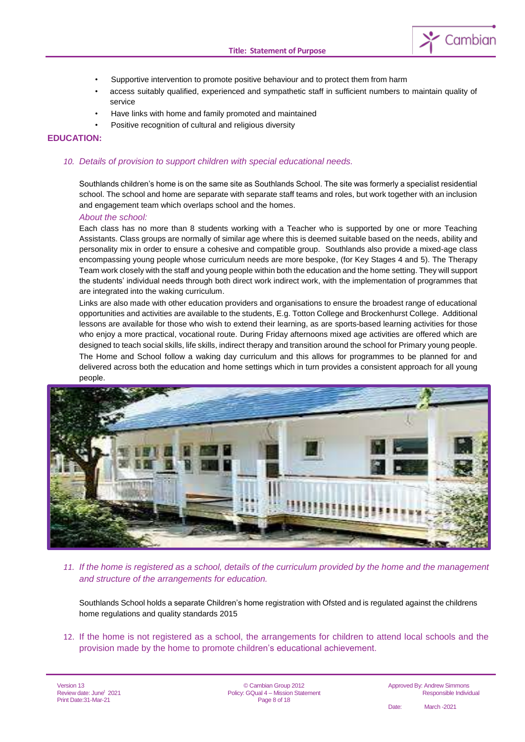

- Supportive intervention to promote positive behaviour and to protect them from harm
- access suitably qualified, experienced and sympathetic staff in sufficient numbers to maintain quality of service
- Have links with home and family promoted and maintained
- Positive recognition of cultural and religious diversity

#### **EDUCATION:**

#### *10. Details of provision to support children with special educational needs.*

Southlands children's home is on the same site as Southlands School. The site was formerly a specialist residential school. The school and home are separate with separate staff teams and roles, but work together with an inclusion and engagement team which overlaps school and the homes.

#### *About the school:*

Each class has no more than 8 students working with a Teacher who is supported by one or more Teaching Assistants. Class groups are normally of similar age where this is deemed suitable based on the needs, ability and personality mix in order to ensure a cohesive and compatible group. Southlands also provide a mixed-age class encompassing young people whose curriculum needs are more bespoke, (for Key Stages 4 and 5). The Therapy Team work closely with the staff and young people within both the education and the home setting. They will support the students' individual needs through both direct work indirect work, with the implementation of programmes that are integrated into the waking curriculum.

Links are also made with other education providers and organisations to ensure the broadest range of educational opportunities and activities are available to the students, E.g. Totton College and Brockenhurst College. Additional lessons are available for those who wish to extend their learning, as are sports-based learning activities for those who enjoy a more practical, vocational route. During Friday afternoons mixed age activities are offered which are designed to teach social skills, life skills, indirect therapy and transition around the school for Primary young people.

The Home and School follow a waking day curriculum and this allows for programmes to be planned for and delivered across both the education and home settings which in turn provides a consistent approach for all young people.



*11. If the home is registered as a school, details of the curriculum provided by the home and the management and structure of the arrangements for education.*

Southlands School holds a separate Children's home registration with Ofsted and is regulated against the childrens home regulations and quality standards 2015

12. If the home is not registered as a school, the arrangements for children to attend local schools and the provision made by the home to promote children's educational achievement.

Version 13 Review date: June<sup>t</sup> 2021 Print Date:31-Mar-21

© Cambian Group 2012 Policy: GQual 4 – Mission Statement Page 8 of 18

Approved By: Andrew Simmons Responsible Individual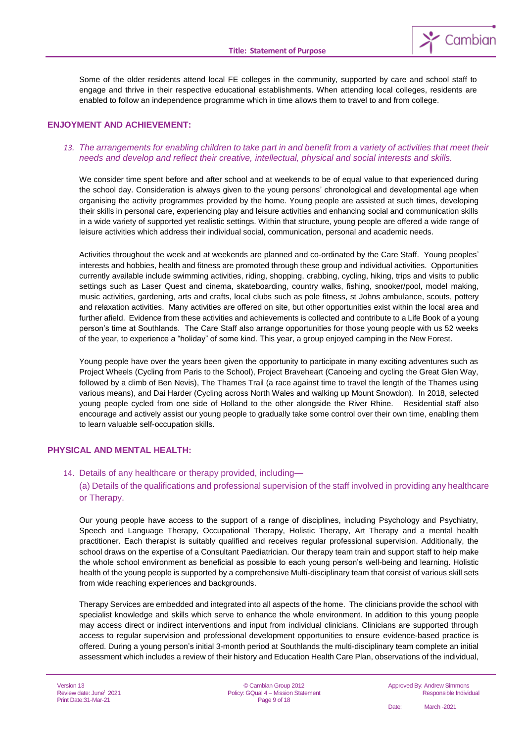

Some of the older residents attend local FE colleges in the community, supported by care and school staff to engage and thrive in their respective educational establishments. When attending local colleges, residents are enabled to follow an independence programme which in time allows them to travel to and from college.

#### **ENJOYMENT AND ACHIEVEMENT:**

#### *13. The arrangements for enabling children to take part in and benefit from a variety of activities that meet their needs and develop and reflect their creative, intellectual, physical and social interests and skills.*

We consider time spent before and after school and at weekends to be of equal value to that experienced during the school day. Consideration is always given to the young persons' chronological and developmental age when organising the activity programmes provided by the home. Young people are assisted at such times, developing their skills in personal care, experiencing play and leisure activities and enhancing social and communication skills in a wide variety of supported yet realistic settings. Within that structure, young people are offered a wide range of leisure activities which address their individual social, communication, personal and academic needs.

Activities throughout the week and at weekends are planned and co-ordinated by the Care Staff. Young peoples' interests and hobbies, health and fitness are promoted through these group and individual activities. Opportunities currently available include swimming activities, riding, shopping, crabbing, cycling, hiking, trips and visits to public settings such as Laser Quest and cinema, skateboarding, country walks, fishing, snooker/pool, model making, music activities, gardening, arts and crafts, local clubs such as pole fitness, st Johns ambulance, scouts, pottery and relaxation activities. Many activities are offered on site, but other opportunities exist within the local area and further afield. Evidence from these activities and achievements is collected and contribute to a Life Book of a young person's time at Southlands. The Care Staff also arrange opportunities for those young people with us 52 weeks of the year, to experience a "holiday" of some kind. This year, a group enjoyed camping in the New Forest.

Young people have over the years been given the opportunity to participate in many exciting adventures such as Project Wheels (Cycling from Paris to the School), Project Braveheart (Canoeing and cycling the Great Glen Way, followed by a climb of Ben Nevis), The Thames Trail (a race against time to travel the length of the Thames using various means), and Dai Harder (Cycling across North Wales and walking up Mount Snowdon). In 2018, selected young people cycled from one side of Holland to the other alongside the River Rhine. Residential staff also encourage and actively assist our young people to gradually take some control over their own time, enabling them to learn valuable self-occupation skills.

#### **PHYSICAL AND MENTAL HEALTH:**

#### 14. Details of any healthcare or therapy provided, including—

(a) Details of the qualifications and professional supervision of the staff involved in providing any healthcare or Therapy.

Our young people have access to the support of a range of disciplines, including Psychology and Psychiatry, Speech and Language Therapy, Occupational Therapy, Holistic Therapy, Art Therapy and a mental health practitioner. Each therapist is suitably qualified and receives regular professional supervision. Additionally, the school draws on the expertise of a Consultant Paediatrician. Our therapy team train and support staff to help make the whole school environment as beneficial as possible to each young person's well-being and learning. Holistic health of the young people is supported by a comprehensive Multi-disciplinary team that consist of various skill sets from wide reaching experiences and backgrounds.

Therapy Services are embedded and integrated into all aspects of the home. The clinicians provide the school with specialist knowledge and skills which serve to enhance the whole environment. In addition to this young people may access direct or indirect interventions and input from individual clinicians. Clinicians are supported through access to regular supervision and professional development opportunities to ensure evidence-based practice is offered. During a young person's initial 3-month period at Southlands the multi-disciplinary team complete an initial assessment which includes a review of their history and Education Health Care Plan, observations of the individual,

© Cambian Group 2012 Policy: GQual 4 – Mission Statement Page 9 of 18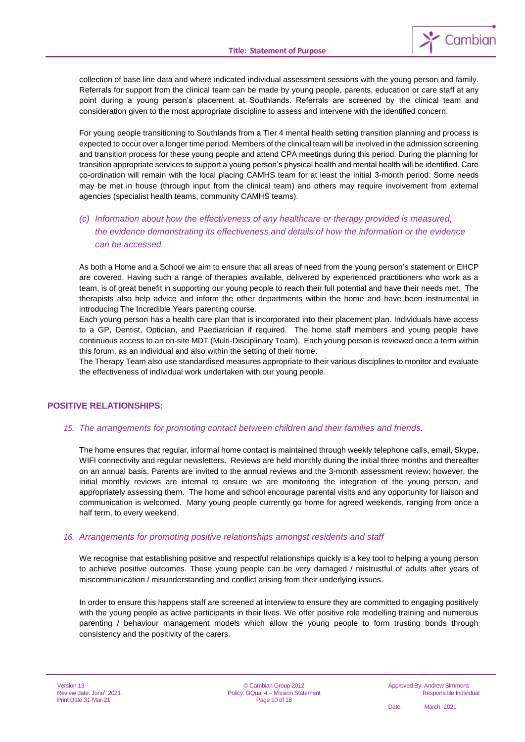

collection of base line data and where indicated individual assessment sessions with the young person and family. Referrals for support from the clinical team can be made by young people, parents, education or care staff at any point during a young person's placement at Southlands. Referrals are screened by the clinical team and consideration given to the most appropriate discipline to assess and intervene with the identified concern.

For young people transitioning to Southlands from a Tier 4 mental health setting transition planning and process is expected to occur over a longer time period. Members of the clinical team will be involved in the admission screening and transition process for these young people and attend CPA meetings during this period. During the planning for transition appropriate services to support a young person's physical health and mental health will be identified. Care co-ordination will remain with the local placing CAMHS team for at least the initial 3-month period. Some needs may be met in house (through input from the clinical team) and others may require involvement from external agencies (specialist health teams, community CAMHS teams).

### *(c) Information about how the effectiveness of any healthcare or therapy provided is measured, the evidence demonstrating its effectiveness and details of how the information or the evidence can be accessed.*

As both a Home and a School we aim to ensure that all areas of need from the young person's statement or EHCP are covered. Having such a range of therapies available, delivered by experienced practitioners who work as a team, is of great benefit in supporting our young people to reach their full potential and have their needs met. The therapists also help advice and inform the other departments within the home and have been instrumental in introducing The Incredible Years parenting course.

Each young person has a health care plan that is incorporated into their placement plan. Individuals have access to a GP, Dentist, Optician, and Paediatrician if required. The home staff members and young people have continuous access to an on-site MDT (Multi-Disciplinary Team). Each young person is reviewed once a term within this forum, as an individual and also within the setting of their home.

The Therapy Team also use standardised measures appropriate to their various disciplines to monitor and evaluate the effectiveness of individual work undertaken with our young people.

#### **POSITIVE RELATIONSHIPS:**

#### *15. The arrangements for promoting contact between children and their families and friends.*

The home ensures that regular, informal home contact is maintained through weekly telephone calls, email, Skype, WIFI connectivity and regular newsletters. Reviews are held monthly during the initial three months and thereafter on an annual basis. Parents are invited to the annual reviews and the 3-month assessment review; however, the initial monthly reviews are internal to ensure we are monitoring the integration of the young person, and appropriately assessing them. The home and school encourage parental visits and any opportunity for liaison and communication is welcomed. Many young people currently go home for agreed weekends, ranging from once a half term, to every weekend.

#### *16. Arrangements for promoting positive relationships amongst residents and staff*

We recognise that establishing positive and respectful relationships quickly is a key tool to helping a young person to achieve positive outcomes. These young people can be very damaged / mistrustful of adults after years of miscommunication / misunderstanding and conflict arising from their underlying issues.

In order to ensure this happens staff are screened at interview to ensure they are committed to engaging positively with the young people as active participants in their lives. We offer positive role modelling training and numerous parenting / behaviour management models which allow the young people to form trusting bonds through consistency and the positivity of the carers.

© Cambian Group 2012 Policy: GQual 4 – Mission Statement Page 10 of 18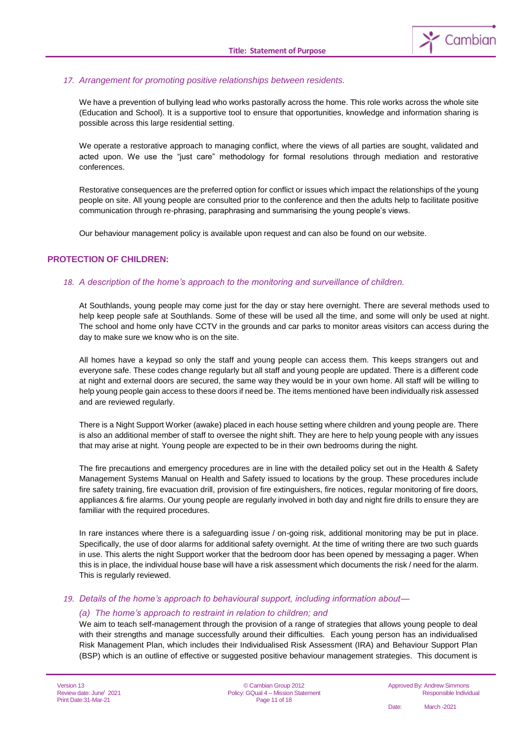

#### *17. Arrangement for promoting positive relationships between residents.*

We have a prevention of bullying lead who works pastorally across the home. This role works across the whole site (Education and School). It is a supportive tool to ensure that opportunities, knowledge and information sharing is possible across this large residential setting.

We operate a restorative approach to managing conflict, where the views of all parties are sought, validated and acted upon. We use the "just care" methodology for formal resolutions through mediation and restorative conferences.

Restorative consequences are the preferred option for conflict or issues which impact the relationships of the young people on site. All young people are consulted prior to the conference and then the adults help to facilitate positive communication through re-phrasing, paraphrasing and summarising the young people's views.

Our behaviour management policy is available upon request and can also be found on our website.

#### **PROTECTION OF CHILDREN:**

#### *18. A description of the home's approach to the monitoring and surveillance of children.*

At Southlands, young people may come just for the day or stay here overnight. There are several methods used to help keep people safe at Southlands. Some of these will be used all the time, and some will only be used at night. The school and home only have CCTV in the grounds and car parks to monitor areas visitors can access during the day to make sure we know who is on the site.

All homes have a keypad so only the staff and young people can access them. This keeps strangers out and everyone safe. These codes change regularly but all staff and young people are updated. There is a different code at night and external doors are secured, the same way they would be in your own home. All staff will be willing to help young people gain access to these doors if need be. The items mentioned have been individually risk assessed and are reviewed regularly.

There is a Night Support Worker (awake) placed in each house setting where children and young people are. There is also an additional member of staff to oversee the night shift. They are here to help young people with any issues that may arise at night. Young people are expected to be in their own bedrooms during the night.

The fire precautions and emergency procedures are in line with the detailed policy set out in the Health & Safety Management Systems Manual on Health and Safety issued to locations by the group. These procedures include fire safety training, fire evacuation drill, provision of fire extinguishers, fire notices, regular monitoring of fire doors, appliances & fire alarms. Our young people are regularly involved in both day and night fire drills to ensure they are familiar with the required procedures.

In rare instances where there is a safeguarding issue / on-going risk, additional monitoring may be put in place. Specifically, the use of door alarms for additional safety overnight. At the time of writing there are two such guards in use. This alerts the night Support worker that the bedroom door has been opened by messaging a pager. When this is in place, the individual house base will have a risk assessment which documents the risk / need for the alarm. This is regularly reviewed.

#### *19. Details of the home's approach to behavioural support, including information about—*

#### *(a) The home's approach to restraint in relation to children; and*

We aim to teach self-management through the provision of a range of strategies that allows young people to deal with their strengths and manage successfully around their difficulties. Each young person has an individualised Risk Management Plan, which includes their Individualised Risk Assessment (IRA) and Behaviour Support Plan (BSP) which is an outline of effective or suggested positive behaviour management strategies. This document is

Version 13 Review date: June<sup>t</sup> 2021 Print Date:31-Mar-21

© Cambian Group 2012 Policy: GQual 4 – Mission Statement Page 11 of 18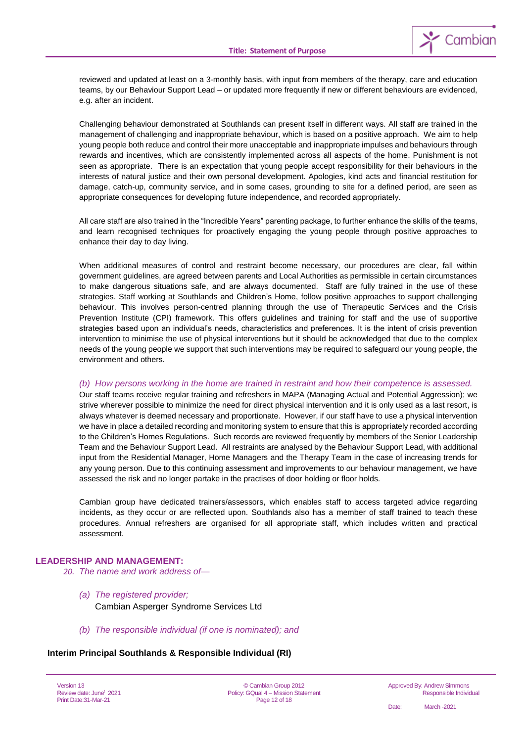

reviewed and updated at least on a 3-monthly basis, with input from members of the therapy, care and education teams, by our Behaviour Support Lead – or updated more frequently if new or different behaviours are evidenced, e.g. after an incident.

Challenging behaviour demonstrated at Southlands can present itself in different ways. All staff are trained in the management of challenging and inappropriate behaviour, which is based on a positive approach. We aim to help young people both reduce and control their more unacceptable and inappropriate impulses and behaviours through rewards and incentives, which are consistently implemented across all aspects of the home. Punishment is not seen as appropriate. There is an expectation that young people accept responsibility for their behaviours in the interests of natural justice and their own personal development. Apologies, kind acts and financial restitution for damage, catch-up, community service, and in some cases, grounding to site for a defined period, are seen as appropriate consequences for developing future independence, and recorded appropriately.

All care staff are also trained in the "Incredible Years" parenting package, to further enhance the skills of the teams, and learn recognised techniques for proactively engaging the young people through positive approaches to enhance their day to day living.

When additional measures of control and restraint become necessary, our procedures are clear, fall within government guidelines, are agreed between parents and Local Authorities as permissible in certain circumstances to make dangerous situations safe, and are always documented. Staff are fully trained in the use of these strategies. Staff working at Southlands and Children's Home, follow positive approaches to support challenging behaviour. This involves person-centred planning through the use of Therapeutic Services and the Crisis Prevention Institute (CPI) framework. This offers guidelines and training for staff and the use of supportive strategies based upon an individual's needs, characteristics and preferences. It is the intent of crisis prevention intervention to minimise the use of physical interventions but it should be acknowledged that due to the complex needs of the young people we support that such interventions may be required to safeguard our young people, the environment and others.

#### *(b) How persons working in the home are trained in restraint and how their competence is assessed.*

Our staff teams receive regular training and refreshers in MAPA (Managing Actual and Potential Aggression); we strive wherever possible to minimize the need for direct physical intervention and it is only used as a last resort, is always whatever is deemed necessary and proportionate. However, if our staff have to use a physical intervention we have in place a detailed recording and monitoring system to ensure that this is appropriately recorded according to the Children's Homes Regulations. Such records are reviewed frequently by members of the Senior Leadership Team and the Behaviour Support Lead. All restraints are analysed by the Behaviour Support Lead, with additional input from the Residential Manager, Home Managers and the Therapy Team in the case of increasing trends for any young person. Due to this continuing assessment and improvements to our behaviour management, we have assessed the risk and no longer partake in the practises of door holding or floor holds.

Cambian group have dedicated trainers/assessors, which enables staff to access targeted advice regarding incidents, as they occur or are reflected upon. Southlands also has a member of staff trained to teach these procedures. Annual refreshers are organised for all appropriate staff, which includes written and practical assessment.

#### **LEADERSHIP AND MANAGEMENT:**

#### *20. The name and work address of—*

- *(a) The registered provider;* Cambian Asperger Syndrome Services Ltd
- *(b) The responsible individual (if one is nominated); and*

#### **Interim Principal Southlands & Responsible Individual (RI)**

Version 13 Review date: June<sup>t</sup> 2021 Print Date:31-Mar-21

© Cambian Group 2012 Policy: GQual 4 – Mission Statement Page 12 of 18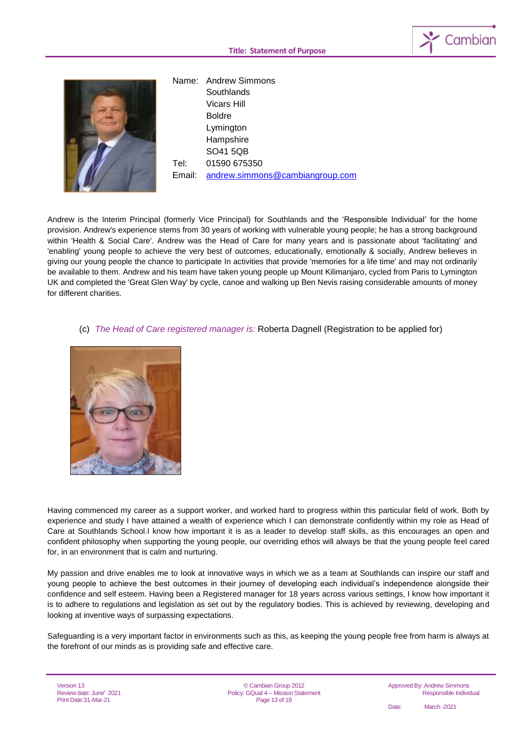



Name: Andrew Simmons **Southlands** Vicars Hill Boldre Lymington **Hampshire** SO41 5QB Tel: 01590 675350 Email: [andrew.simmons@cambiangroup.com](mailto:andrew.simmons@cambiangroup.com)

Andrew is the Interim Principal (formerly Vice Principal) for Southlands and the 'Responsible Individual' for the home provision. Andrew's experience stems from 30 years of working with vulnerable young people; he has a strong background within 'Health & Social Care'. Andrew was the Head of Care for many years and is passionate about 'facilitating' and 'enabling' young people to achieve the very best of outcomes, educationally, emotionally & socially, Andrew believes in giving our young people the chance to participate In activities that provide 'memories for a life time' and may not ordinarily be available to them. Andrew and his team have taken young people up Mount Kilimanjaro, cycled from Paris to Lymington UK and completed the 'Great Glen Way' by cycle, canoe and walking up Ben Nevis raising considerable amounts of money for different charities.

#### (c) *The Head of Care registered manager is:* Roberta Dagnell (Registration to be applied for)



Having commenced my career as a support worker, and worked hard to progress within this particular field of work. Both by experience and study I have attained a wealth of experience which I can demonstrate confidently within my role as Head of Care at Southlands School.I know how important it is as a leader to develop staff skills, as this encourages an open and confident philosophy when supporting the young people, our overriding ethos will always be that the young people feel cared for, in an environment that is calm and nurturing.

My passion and drive enables me to look at innovative ways in which we as a team at Southlands can inspire our staff and young people to achieve the best outcomes in their journey of developing each individual's independence alongside their confidence and self esteem. Having been a Registered manager for 18 years across various settings, I know how important it is to adhere to regulations and legislation as set out by the regulatory bodies. This is achieved by reviewing, developing and looking at inventive ways of surpassing expectations.

Safeguarding is a very important factor in environments such as this, as keeping the young people free from harm is always at the forefront of our minds as is providing safe and effective care.

Version 13 Review date: June<sup>t</sup> 2021 Print Date:31-Mar-21

© Cambian Group 2012 Policy: GQual 4 – Mission Statement Page 13 of 18

Approved By: Andrew Simmons Responsible Individual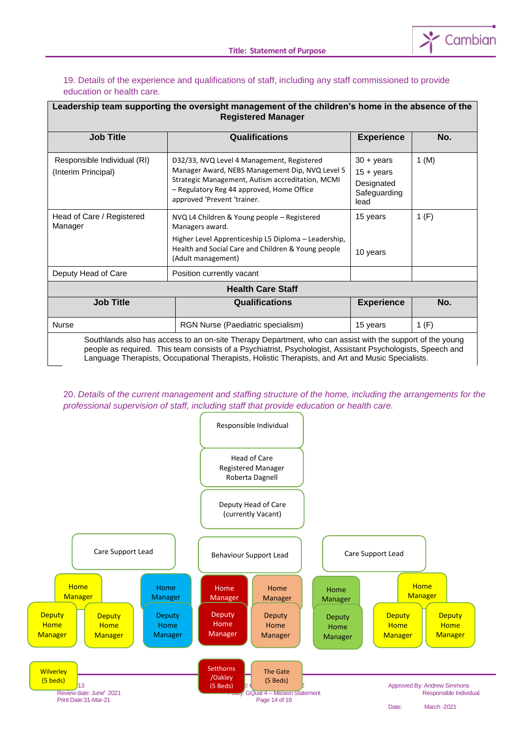

#### 19. Details of the experience and qualifications of staff, including any staff commissioned to provide education or health care.

г

| Leadership team supporting the oversight management of the children's home in the absence of the<br><b>Registered Manager</b>                                                                                                                                                                                                 |                                                                                                                                                                                                                               |                                                                                 |       |
|-------------------------------------------------------------------------------------------------------------------------------------------------------------------------------------------------------------------------------------------------------------------------------------------------------------------------------|-------------------------------------------------------------------------------------------------------------------------------------------------------------------------------------------------------------------------------|---------------------------------------------------------------------------------|-------|
| <b>Job Title</b>                                                                                                                                                                                                                                                                                                              | <b>Qualifications</b>                                                                                                                                                                                                         | <b>Experience</b>                                                               | No.   |
| Responsible Individual (RI)<br>(Interim Principal)                                                                                                                                                                                                                                                                            | D32/33, NVQ Level 4 Management, Registered<br>Manager Award, NEBS Management Dip, NVQ Level 5<br>Strategic Management, Autism accreditation, MCMI<br>- Regulatory Reg 44 approved, Home Office<br>approved 'Prevent 'trainer. | $30 + \gamma$ ears<br>$15 + \text{years}$<br>Designated<br>Safeguarding<br>lead | 1 (M) |
| Head of Care / Registered<br>Manager                                                                                                                                                                                                                                                                                          | NVQ L4 Children & Young people - Registered<br>Managers award.<br>Higher Level Apprenticeship L5 Diploma – Leadership,<br>Health and Social Care and Children & Young people<br>(Adult management)                            | 15 years<br>10 years                                                            | 1(F)  |
| Deputy Head of Care<br>Position currently vacant<br><b>Health Care Staff</b>                                                                                                                                                                                                                                                  |                                                                                                                                                                                                                               |                                                                                 |       |
| <b>Job Title</b>                                                                                                                                                                                                                                                                                                              | <b>Qualifications</b>                                                                                                                                                                                                         | <b>Experience</b>                                                               | No.   |
| <b>Nurse</b>                                                                                                                                                                                                                                                                                                                  | RGN Nurse (Paediatric specialism)                                                                                                                                                                                             | 15 years                                                                        | 1(F)  |
| Southlands also has access to an on-site Therapy Department, who can assist with the support of the young<br>people as required. This team consists of a Psychiatrist, Psychologist, Assistant Psychologists, Speech and<br>Language Therapists, Occupational Therapists, Holistic Therapists, and Art and Music Specialists. |                                                                                                                                                                                                                               |                                                                                 |       |

20. *Details of the current management and staffing structure of the home, including the arrangements for the professional supervision of staff, including staff that provide education or health care.*

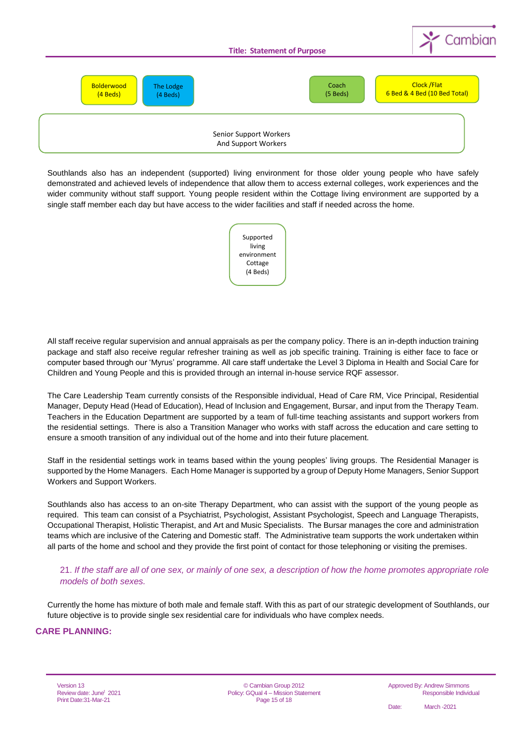

Southlands also has an independent (supported) living environment for those older young people who have safely demonstrated and achieved levels of independence that allow them to access external colleges, work experiences and the wider community without staff support. Young people resident within the Cottage living environment are supported by a single staff member each day but have access to the wider facilities and staff if needed across the home.

> Supported living environment Cottage (4 Beds)

All staff receive regular supervision and annual appraisals as per the company policy. There is an in-depth induction training package and staff also receive regular refresher training as well as job specific training. Training is either face to face or computer based through our 'Myrus' programme. All care staff undertake the Level 3 Diploma in Health and Social Care for Children and Young People and this is provided through an internal in-house service RQF assessor.

The Care Leadership Team currently consists of the Responsible individual, Head of Care RM, Vice Principal, Residential Manager, Deputy Head (Head of Education), Head of Inclusion and Engagement, Bursar, and input from the Therapy Team. Teachers in the Education Department are supported by a team of full-time teaching assistants and support workers from the residential settings. There is also a Transition Manager who works with staff across the education and care setting to ensure a smooth transition of any individual out of the home and into their future placement.

Staff in the residential settings work in teams based within the young peoples' living groups. The Residential Manager is supported by the Home Managers. Each Home Manager is supported by a group of Deputy Home Managers, Senior Support Workers and Support Workers.

Southlands also has access to an on-site Therapy Department, who can assist with the support of the young people as required. This team can consist of a Psychiatrist, Psychologist, Assistant Psychologist, Speech and Language Therapists, Occupational Therapist, Holistic Therapist, and Art and Music Specialists. The Bursar manages the core and administration teams which are inclusive of the Catering and Domestic staff. The Administrative team supports the work undertaken within all parts of the home and school and they provide the first point of contact for those telephoning or visiting the premises.

21. *If the staff are all of one sex, or mainly of one sex, a description of how the home promotes appropriate role models of both sexes.*

Currently the home has mixture of both male and female staff. With this as part of our strategic development of Southlands, our future objective is to provide single sex residential care for individuals who have complex needs.

#### **CARE PLANNING:**

Version 13 Review date: June<sup>t</sup> 2021 Print Date:31-Mar-21

© Cambian Group 2012 Policy: GQual 4 – Mission Statement Page 15 of 18

Approved By: Andrew Simmons Responsible Individual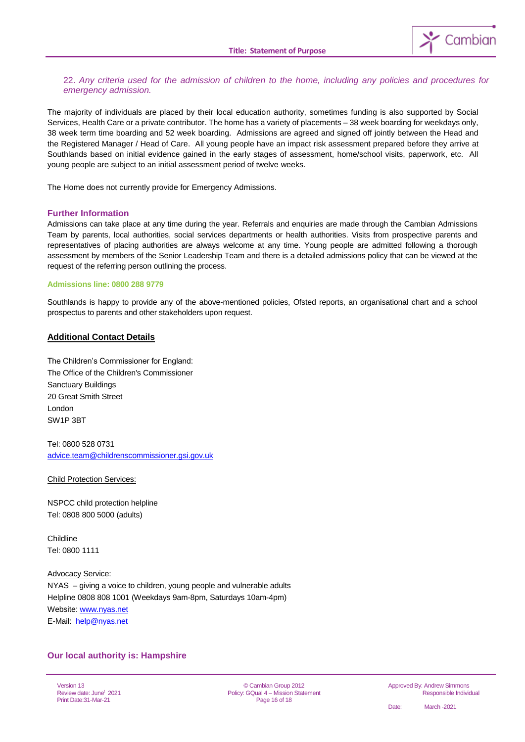

#### 22. *Any criteria used for the admission of children to the home, including any policies and procedures for emergency admission.*

The majority of individuals are placed by their local education authority, sometimes funding is also supported by Social Services, Health Care or a private contributor. The home has a variety of placements – 38 week boarding for weekdays only, 38 week term time boarding and 52 week boarding. Admissions are agreed and signed off jointly between the Head and the Registered Manager / Head of Care. All young people have an impact risk assessment prepared before they arrive at Southlands based on initial evidence gained in the early stages of assessment, home/school visits, paperwork, etc. All young people are subject to an initial assessment period of twelve weeks.

The Home does not currently provide for Emergency Admissions.

#### **Further Information**

Admissions can take place at any time during the year. Referrals and enquiries are made through the Cambian Admissions Team by parents, local authorities, social services departments or health authorities. Visits from prospective parents and representatives of placing authorities are always welcome at any time. Young people are admitted following a thorough assessment by members of the Senior Leadership Team and there is a detailed admissions policy that can be viewed at the request of the referring person outlining the process.

#### **Admissions line: 0800 288 9779**

Southlands is happy to provide any of the above-mentioned policies, Ofsted reports, an organisational chart and a school prospectus to parents and other stakeholders upon request.

#### **Additional Contact Details**

The Children's Commissioner for England: The Office of the Children's Commissioner Sanctuary Buildings 20 Great Smith Street London SW1P 3BT

Tel: 0800 528 0731 [advice.team@childrenscommissioner.gsi.gov.uk](mailto:advice.team@childrenscommissioner.gsi.gov.uk)

Child Protection Services:

NSPCC child protection helpline Tel: 0808 800 5000 (adults)

Childline Tel: 0800 1111

Advocacy Service: NYAS – giving a voice to children, young people and vulnerable adults Helpline 0808 808 1001 (Weekdays 9am-8pm, Saturdays 10am-4pm) Website[: www.nyas.net](http://www.nyas.net/) E-Mail: [help@nyas.net](mailto:help@nyas.net)

#### **Our local authority is: Hampshire**

Version 13 Review date: June<sup>t</sup> 2021 Print Date:31-Mar-21

© Cambian Group 2012 Policy: GQual 4 – Mission Statement Page 16 of 18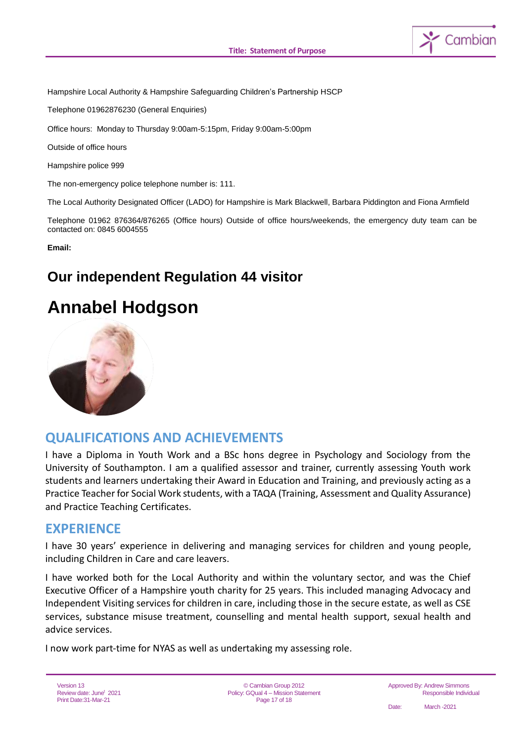

Hampshire Local Authority & Hampshire Safeguarding Children's Partnership HSCP

Telephone 01962876230 (General Enquiries)

Office hours: Monday to Thursday 9:00am-5:15pm, Friday 9:00am-5:00pm

Outside of office hours

Hampshire police 999

The non-emergency police telephone number is: 111.

The Local Authority Designated Officer (LADO) for Hampshire is Mark Blackwell, Barbara Piddington and Fiona Armfield

Telephone 01962 876364/876265 (Office hours) Outside of office hours/weekends, the emergency duty team can be contacted on: 0845 6004555

**Email:** 

# **Our independent Regulation 44 visitor**

# **Annabel Hodgson**



# **QUALIFICATIONS AND ACHIEVEMENTS**

I have a Diploma in Youth Work and a BSc hons degree in Psychology and Sociology from the University of Southampton. I am a qualified assessor and trainer, currently assessing Youth work students and learners undertaking their Award in Education and Training, and previously acting as a Practice Teacher for Social Work students, with a TAQA (Training, Assessment and Quality Assurance) and Practice Teaching Certificates.

# **EXPERIENCE**

I have 30 years' experience in delivering and managing services for children and young people, including Children in Care and care leavers.

I have worked both for the Local Authority and within the voluntary sector, and was the Chief Executive Officer of a Hampshire youth charity for 25 years. This included managing Advocacy and Independent Visiting services for children in care, including those in the secure estate, as well as CSE services, substance misuse treatment, counselling and mental health support, sexual health and advice services.

I now work part-time for NYAS as well as undertaking my assessing role.

Version 13 Review date: June<sup>t</sup> 2021 Print Date:31-Mar-21

© Cambian Group 2012 Policy: GQual 4 – Mission Statement Page 17 of 18